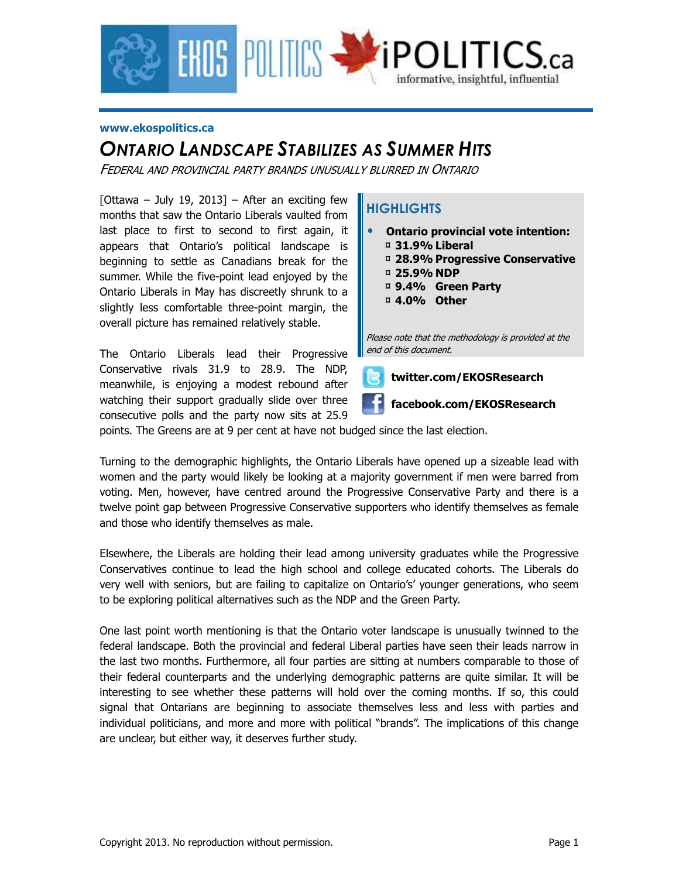

#### **www.ekospolitics.ca**

## *ONTARIO LANDSCAPE STABILIZES AS SUMMER HITS*

FEDERAL AND PROVINCIAL PARTY BRANDS UNUSUALLY BLURRED IN ONTARIO

[Ottawa – July 19, 2013] – After an exciting few months that saw the Ontario Liberals vaulted from last place to first to second to first again, it appears that Ontario's political landscape is beginning to settle as Canadians break for the summer. While the five-point lead enjoyed by the Ontario Liberals in May has discreetly shrunk to a slightly less comfortable three-point margin, the overall picture has remained relatively stable.

The Ontario Liberals lead their Progressive Conservative rivals 31.9 to 28.9. The NDP, meanwhile, is enjoying a modest rebound after watching their support gradually slide over three consecutive polls and the party now sits at 25.9

### **HIGHLIGHTS**

- **Ontario provincial vote intention:**  ¤ **31.9% Liberal** 
	- ¤ **28.9% Progressive Conservative**
	- ¤ **25.9% NDP**
	- ¤ **9.4% Green Party**
	- ¤ **4.0% Other**

Please note that the methodology is provided at the end of this document.



points. The Greens are at 9 per cent at have not budged since the last election.

Turning to the demographic highlights, the Ontario Liberals have opened up a sizeable lead with women and the party would likely be looking at a majority government if men were barred from voting. Men, however, have centred around the Progressive Conservative Party and there is a twelve point gap between Progressive Conservative supporters who identify themselves as female and those who identify themselves as male.

Elsewhere, the Liberals are holding their lead among university graduates while the Progressive Conservatives continue to lead the high school and college educated cohorts. The Liberals do very well with seniors, but are failing to capitalize on Ontario's' younger generations, who seem to be exploring political alternatives such as the NDP and the Green Party.

One last point worth mentioning is that the Ontario voter landscape is unusually twinned to the federal landscape. Both the provincial and federal Liberal parties have seen their leads narrow in the last two months. Furthermore, all four parties are sitting at numbers comparable to those of their federal counterparts and the underlying demographic patterns are quite similar. It will be interesting to see whether these patterns will hold over the coming months. If so, this could signal that Ontarians are beginning to associate themselves less and less with parties and individual politicians, and more and more with political "brands". The implications of this change are unclear, but either way, it deserves further study.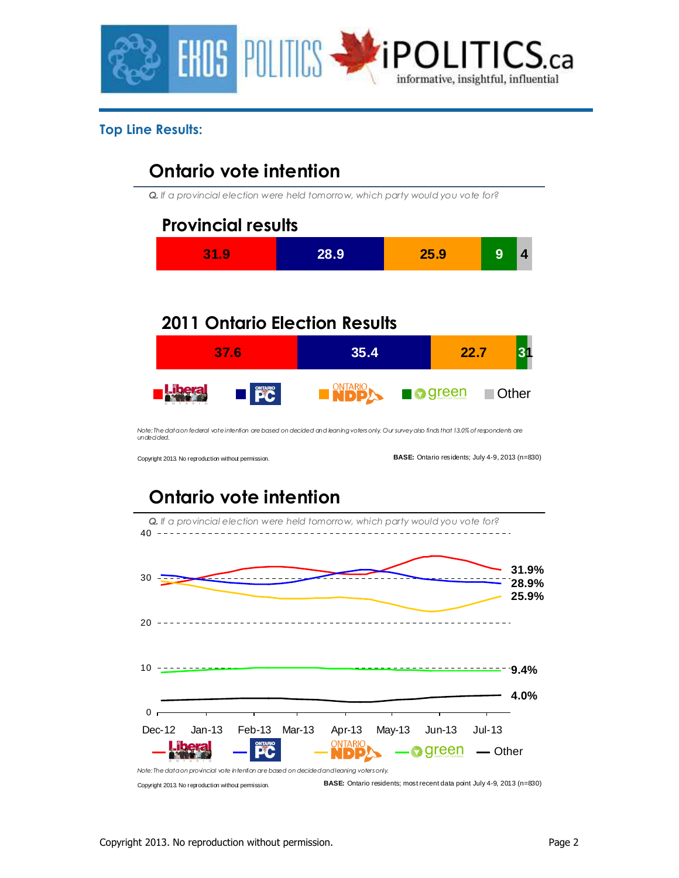

### **Top Line Results:**

# **Ontario vote intention**

*Q. If a provincial election were held tomorrow, which party would you vote for?*



# **2011 Ontario Election Results**



*Note: The data on federal vote intention are based on decided and leaning voters only. Our survey also finds that 13.0% of respondents are undecided.*

Copyright 2013. No reproduction without permission.

**BASE:** Ontario residents; July 4-9, 2013 (n=830)

# **Ontario vote intention**

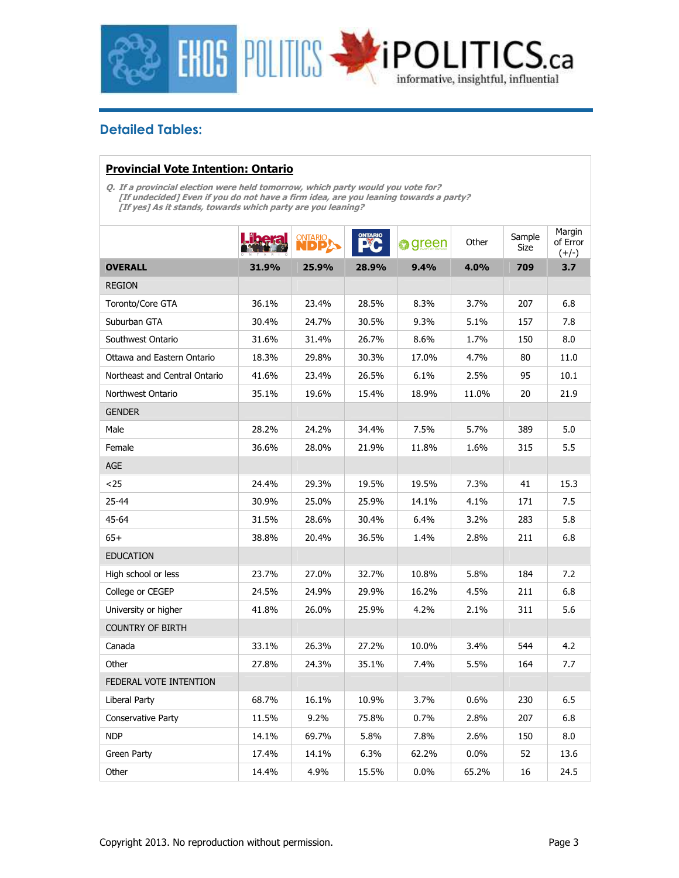

### **Detailed Tables:**

#### **Provincial Vote Intention: Ontario**

**Q. If a provincial election were held tomorrow, which party would you vote for? [If undecided] Even if you do not have a firm idea, are you leaning towards a party? [If yes] As it stands, towards which party are you leaning?** 

|                               |       | <b>ONTARIO</b><br>IDD | <b>ONTARIO</b> | green | Other   | Sample<br>Size | Margin<br>of Error<br>$(+/-)$ |
|-------------------------------|-------|-----------------------|----------------|-------|---------|----------------|-------------------------------|
| <b>OVERALL</b>                | 31.9% | 25.9%                 | 28.9%          | 9.4%  | 4.0%    | 709            | 3.7                           |
| <b>REGION</b>                 |       |                       |                |       |         |                |                               |
| Toronto/Core GTA              | 36.1% | 23.4%                 | 28.5%          | 8.3%  | 3.7%    | 207            | 6.8                           |
| Suburban GTA                  | 30.4% | 24.7%                 | 30.5%          | 9.3%  | 5.1%    | 157            | 7.8                           |
| Southwest Ontario             | 31.6% | 31.4%                 | 26.7%          | 8.6%  | 1.7%    | 150            | 8.0                           |
| Ottawa and Eastern Ontario    | 18.3% | 29.8%                 | 30.3%          | 17.0% | 4.7%    | 80             | 11.0                          |
| Northeast and Central Ontario | 41.6% | 23.4%                 | 26.5%          | 6.1%  | 2.5%    | 95             | 10.1                          |
| Northwest Ontario             | 35.1% | 19.6%                 | 15.4%          | 18.9% | 11.0%   | 20             | 21.9                          |
| <b>GENDER</b>                 |       |                       |                |       |         |                |                               |
| Male                          | 28.2% | 24.2%                 | 34.4%          | 7.5%  | 5.7%    | 389            | 5.0                           |
| Female                        | 36.6% | 28.0%                 | 21.9%          | 11.8% | 1.6%    | 315            | 5.5                           |
| <b>AGE</b>                    |       |                       |                |       |         |                |                               |
| $25$                          | 24.4% | 29.3%                 | 19.5%          | 19.5% | 7.3%    | 41             | 15.3                          |
| 25-44                         | 30.9% | 25.0%                 | 25.9%          | 14.1% | 4.1%    | 171            | 7.5                           |
| 45-64                         | 31.5% | 28.6%                 | 30.4%          | 6.4%  | 3.2%    | 283            | 5.8                           |
| $65+$                         | 38.8% | 20.4%                 | 36.5%          | 1.4%  | 2.8%    | 211            | 6.8                           |
| <b>EDUCATION</b>              |       |                       |                |       |         |                |                               |
| High school or less           | 23.7% | 27.0%                 | 32.7%          | 10.8% | 5.8%    | 184            | 7.2                           |
| College or CEGEP              | 24.5% | 24.9%                 | 29.9%          | 16.2% | 4.5%    | 211            | 6.8                           |
| University or higher          | 41.8% | 26.0%                 | 25.9%          | 4.2%  | 2.1%    | 311            | 5.6                           |
| <b>COUNTRY OF BIRTH</b>       |       |                       |                |       |         |                |                               |
| Canada                        | 33.1% | 26.3%                 | 27.2%          | 10.0% | 3.4%    | 544            | 4.2                           |
| Other                         | 27.8% | 24.3%                 | 35.1%          | 7.4%  | 5.5%    | 164            | 7.7                           |
| FEDERAL VOTE INTENTION        |       |                       |                |       |         |                |                               |
| Liberal Party                 | 68.7% | 16.1%                 | 10.9%          | 3.7%  | 0.6%    | 230            | 6.5                           |
| Conservative Party            | 11.5% | 9.2%                  | 75.8%          | 0.7%  | 2.8%    | 207            | 6.8                           |
| <b>NDP</b>                    | 14.1% | 69.7%                 | 5.8%           | 7.8%  | 2.6%    | 150            | 8.0                           |
| Green Party                   | 17.4% | 14.1%                 | 6.3%           | 62.2% | $0.0\%$ | 52             | 13.6                          |
| Other                         | 14.4% | 4.9%                  | 15.5%          | 0.0%  | 65.2%   | 16             | 24.5                          |